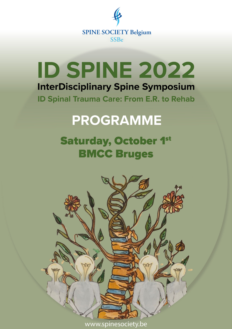

# **ID SPINE 2022 InterDisciplinary Spine Symposium**

**ID Spinal Trauma Care: From E.R. to Rehab** 

# **PROGRAMME**

# **Saturday, October 1st BMCC Bruges**



www.spinesociety.be